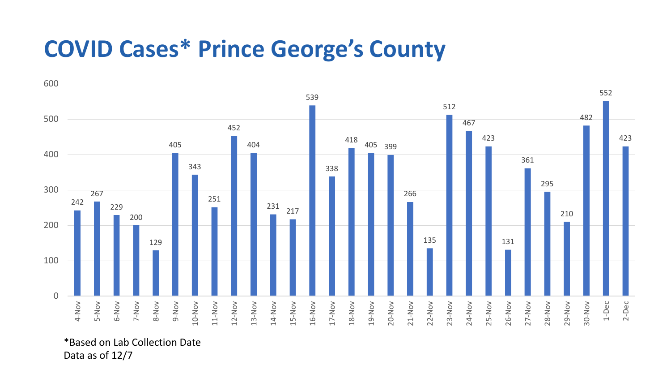## **COVID Cases\* Prince George's County**



\*Based on Lab Collection Date Data as of 12/7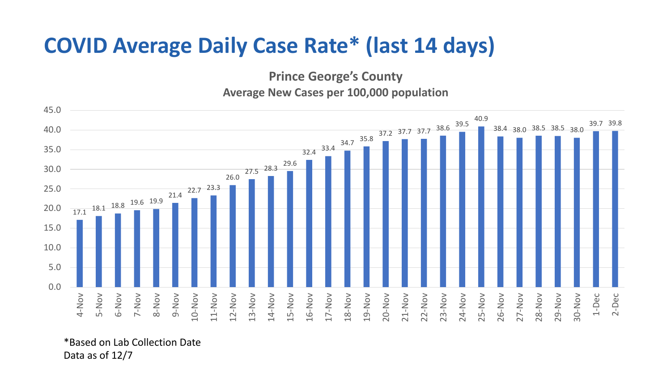## **COVID Average Daily Case Rate\* (last 14 days)**

**Prince George's County**

**Average New Cases per 100,000 population**



\*Based on Lab Collection Date Data as of 12/7